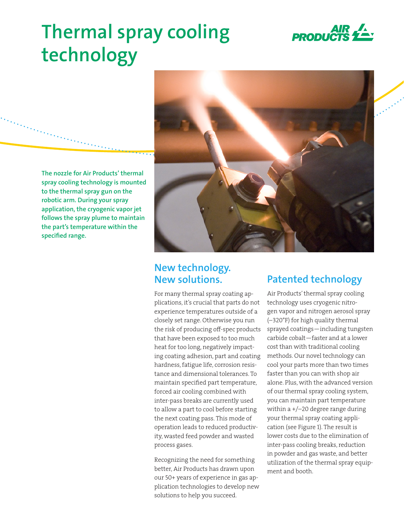

# **Thermal spray cooling technology**

**The nozzle for Air Products' thermal spray cooling technology is mounted to the thermal spray gun on the robotic arm. During your spray application, the cryogenic vapor jet follows the spray plume to maintain the part's temperature within the specified range.**



# **New technology. New solutions.**

For many thermal spray coating applications, it's crucial that parts do not experience temperatures outside of a closely set range. Otherwise you run the risk of producing off-spec products that have been exposed to too much heat for too long, negatively impacting coating adhesion, part and coating hardness, fatigue life, corrosion resistance and dimensional tolerances. To maintain specified part temperature, forced air cooling combined with inter-pass breaks are currently used to allow a part to cool before starting the next coating pass. This mode of operation leads to reduced productivity, wasted feed powder and wasted process gases.

Recognizing the need for something better, Air Products has drawn upon our 50+ years of experience in gas application technologies to develop new solutions to help you succeed.

# **Patented technology**

Air Products' thermal spray cooling technology uses cryogenic nitrogen vapor and nitrogen aerosol spray (–320°F) for high quality thermal sprayed coatings—including tungsten carbide cobalt—faster and at a lower cost than with traditional cooling methods. Our novel technology can cool your parts more than two times faster than you can with shop air alone. Plus, with the advanced version of our thermal spray cooling system, you can maintain part temperature within a +/–20 degree range during your thermal spray coating application (see Figure 1). The result is lower costs due to the elimination of inter-pass cooling breaks, reduction in powder and gas waste, and better utilization of the thermal spray equipment and booth.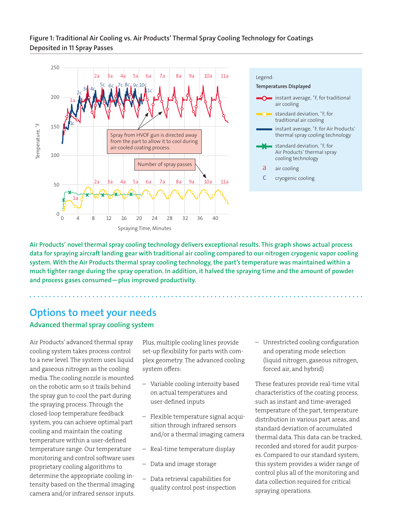## **Figure 1: Traditional Air Cooling vs. Air Products' Thermal Spray Cooling Technology for Coatings Deposited in 11 Spray Passes**



**Air Products' novel thermal spray cooling technology delivers exceptional results. This graph shows actual process data for spraying aircraft landing gear with traditional air cooling compared to our nitrogen cryogenic vapor cooling system. With the Air Products thermal spray cooling technology, the part's temperature was maintained within a much tighter range during the spray operation. In addition, it halved the spraying time and the amount of powder and process gases consumed—plus improved productivity.**

# **Options to meet your needs Advanced thermal spray cooling system**

Air Products' advanced thermal spray cooling system takes process control to a new level. The system uses liquid and gaseous nitrogen as the cooling media. The cooling nozzle is mounted on the robotic arm so it trails behind the spray gun to cool the part during the spraying process. Through the closed-loop temperature feedback system, you can achieve optimal part cooling and maintain the coating temperature within a user-defined temperature range. Our temperature monitoring and control software uses proprietary cooling algorithms to determine the appropriate cooling intensity based on the thermal imaging camera and/or infrared sensor inputs. Plus, multiple cooling lines provide set-up flexibility for parts with complex geometry. The advanced cooling system offers:

- Variable cooling intensity based on actual temperatures and user-defined inputs
- Flexible temperature signal acquisition through infrared sensors and/or a thermal imaging camera
- Real-time temperature display
- Data and image storage
- Data retrieval capabilities for quality control post-inspection

– Unrestricted cooling configuration and operating mode selection (liquid nitrogen, gaseous nitrogen, forced air, and hybrid)

These features provide real-time vital characteristics of the coating process, such as instant and time-averaged temperature of the part, temperature distribution in various part areas, and standard deviation of accumulated thermal data. This data can be tracked, recorded and stored for audit purposes. Compared to our standard system, this system provides a wider range of control plus all of the monitoring and data collection required for critical spraying operations.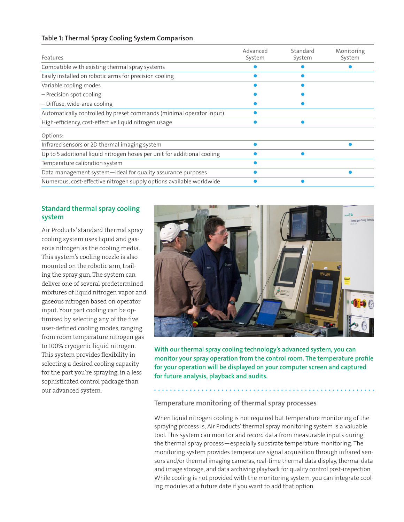### **Table 1: Thermal Spray Cooling System Comparison**

| Features                                                                 | Advanced<br>System | Standard<br>System | Monitoring<br>System |
|--------------------------------------------------------------------------|--------------------|--------------------|----------------------|
| Compatible with existing thermal spray systems                           |                    |                    |                      |
| Easily installed on robotic arms for precision cooling                   |                    |                    |                      |
| Variable cooling modes                                                   |                    |                    |                      |
| - Precision spot cooling                                                 |                    |                    |                      |
| - Diffuse, wide-area cooling                                             |                    |                    |                      |
| Automatically controlled by preset commands (minimal operator input)     |                    |                    |                      |
| High-efficiency, cost-effective liquid nitrogen usage                    |                    |                    |                      |
| Options:                                                                 |                    |                    |                      |
| Infrared sensors or 2D thermal imaging system                            |                    |                    |                      |
| Up to 5 additional liquid nitrogen hoses per unit for additional cooling |                    |                    |                      |
| Temperature calibration system                                           |                    |                    |                      |
| Data management system-ideal for quality assurance purposes              |                    |                    |                      |
| Numerous, cost-effective nitrogen supply options available worldwide     |                    |                    |                      |

# **Standard thermal spray cooling system**

Air Products' standard thermal spray cooling system uses liquid and gaseous nitrogen as the cooling media. This system's cooling nozzle is also mounted on the robotic arm, trailing the spray gun. The system can deliver one of several predetermined mixtures of liquid nitrogen vapor and gaseous nitrogen based on operator input. Your part cooling can be optimized by selecting any of the five user-defined cooling modes, ranging from room temperature nitrogen gas to 100% cryogenic liquid nitrogen. This system provides flexibility in selecting a desired cooling capacity for the part you're spraying, in a less sophisticated control package than our advanced system.



**With our thermal spray cooling technology's advanced system, you can monitor your spray operation from the control room. The temperature profile for your operation will be displayed on your computer screen and captured for future analysis, playback and audits.**

### **Temperature monitoring of thermal spray processes**

When liquid nitrogen cooling is not required but temperature monitoring of the spraying process is, Air Products' thermal spray monitoring system is a valuable tool. This system can monitor and record data from measurable inputs during the thermal spray process—especially substrate temperature monitoring. The monitoring system provides temperature signal acquisition through infrared sensors and/or thermal imaging cameras, real-time thermal data display, thermal data and image storage, and data archiving playback for quality control post-inspection. While cooling is not provided with the monitoring system, you can integrate cooling modules at a future date if you want to add that option.